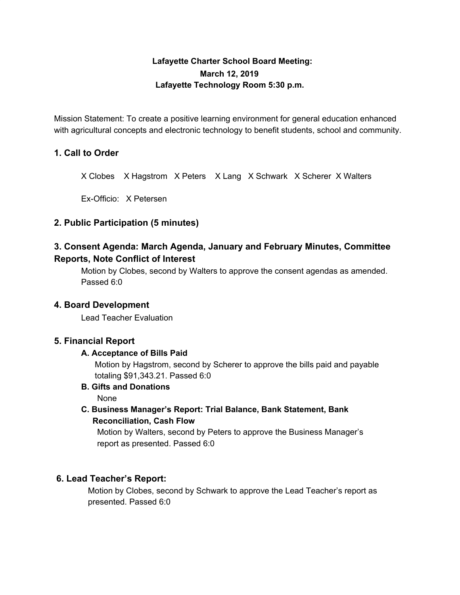# **Lafayette Charter School Board Meeting: March 12, 2019 Lafayette Technology Room 5:30 p.m.**

Mission Statement: To create a positive learning environment for general education enhanced with agricultural concepts and electronic technology to benefit students, school and community.

## **1. Call to Order**

X Clobes X Hagstrom X Peters X Lang X Schwark X Scherer X Walters

Ex-Officio: X Petersen

## **2. Public Participation (5 minutes)**

# **3. Consent Agenda: March Agenda, January and February Minutes, Committee Reports, Note Conflict of Interest**

Motion by Clobes, second by Walters to approve the consent agendas as amended. Passed 6:0

### **4. Board Development**

Lead Teacher Evaluation

### **5. Financial Report**

#### **A. Acceptance of Bills Paid**

Motion by Hagstrom, second by Scherer to approve the bills paid and payable totaling \$91,343.21. Passed 6:0

**B. Gifts and Donations**

None

**C. Business Manager's Report: Trial Balance, Bank Statement, Bank Reconciliation, Cash Flow**

Motion by Walters, second by Peters to approve the Business Manager's report as presented. Passed 6:0

## **6. Lead Teacher's Report:**

Motion by Clobes, second by Schwark to approve the Lead Teacher's report as presented. Passed 6:0